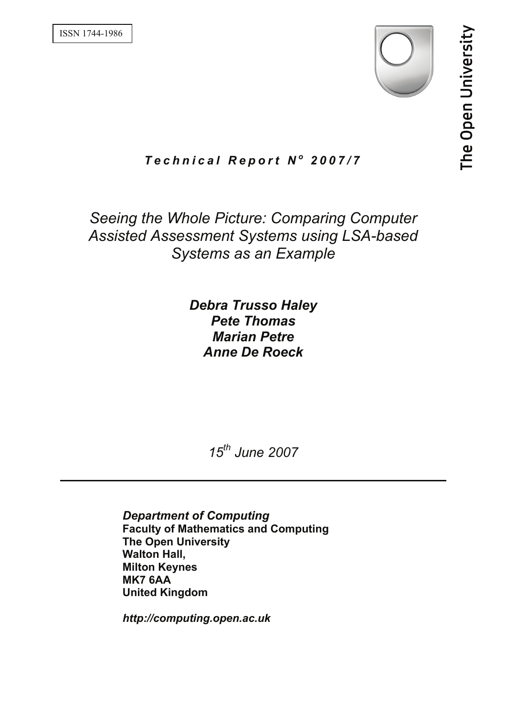

# *Technical Report N o 2007/7*

# *Seeing the Whole Picture: Comparing Computer Assisted Assessment Systems using LSA-based Systems as an Example*

*Debra Trusso Haley Pete Thomas Marian Petre Anne De Roeck* 

*15th June 2007* 

*Department of Computing*  **Faculty of Mathematics and Computing The Open University Walton Hall, Milton Keynes MK7 6AA United Kingdom** 

*http://computing.open.ac.uk*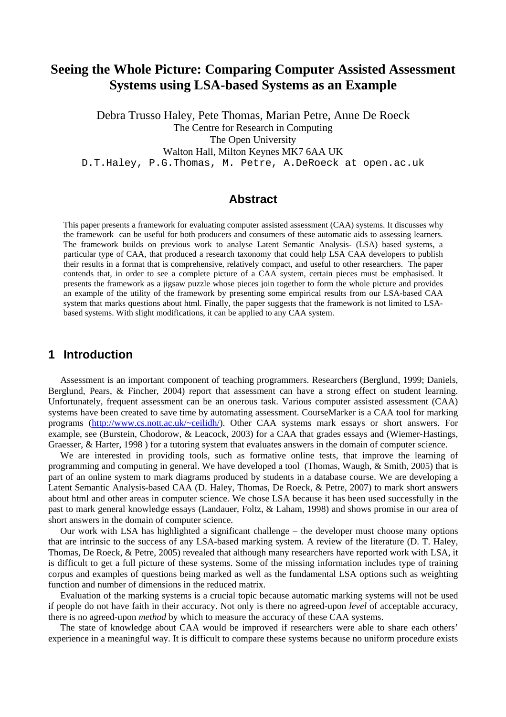## **Seeing the Whole Picture: Comparing Computer Assisted Assessment Systems using LSA-based Systems as an Example**

Debra Trusso Haley, Pete Thomas, Marian Petre, Anne De Roeck The Centre for Research in Computing The Open University Walton Hall, Milton Keynes MK7 6AA UK D.T.Haley, P.G.Thomas, M. Petre, A.DeRoeck at open.ac.uk

### **Abstract**

This paper presents a framework for evaluating computer assisted assessment (CAA) systems. It discusses why the framework can be useful for both producers and consumers of these automatic aids to assessing learners. The framework builds on previous work to analyse Latent Semantic Analysis- (LSA) based systems, a particular type of CAA, that produced a research taxonomy that could help LSA CAA developers to publish their results in a format that is comprehensive, relatively compact, and useful to other researchers. The paper contends that, in order to see a complete picture of a CAA system, certain pieces must be emphasised. It presents the framework as a jigsaw puzzle whose pieces join together to form the whole picture and provides an example of the utility of the framework by presenting some empirical results from our LSA-based CAA system that marks questions about html. Finally, the paper suggests that the framework is not limited to LSAbased systems. With slight modifications, it can be applied to any CAA system.

### **1 Introduction**

Assessment is an important component of teaching programmers. Researchers (Berglund, 1999; Daniels, Berglund, Pears, & Fincher, 2004) report that assessment can have a strong effect on student learning. Unfortunately, frequent assessment can be an onerous task. Various computer assisted assessment (CAA) systems have been created to save time by automating assessment. CourseMarker is a CAA tool for marking programs (http://www.cs.nott.ac.uk/~ceilidh/). Other CAA systems mark essays or short answers. For example, see (Burstein, Chodorow, & Leacock, 2003) for a CAA that grades essays and (Wiemer-Hastings, Graesser, & Harter, 1998 ) for a tutoring system that evaluates answers in the domain of computer science.

We are interested in providing tools, such as formative online tests, that improve the learning of programming and computing in general. We have developed a tool (Thomas, Waugh, & Smith, 2005) that is part of an online system to mark diagrams produced by students in a database course. We are developing a Latent Semantic Analysis-based CAA (D. Haley, Thomas, De Roeck, & Petre, 2007) to mark short answers about html and other areas in computer science. We chose LSA because it has been used successfully in the past to mark general knowledge essays (Landauer, Foltz, & Laham, 1998) and shows promise in our area of short answers in the domain of computer science.

Our work with LSA has highlighted a significant challenge – the developer must choose many options that are intrinsic to the success of any LSA-based marking system. A review of the literature (D. T. Haley, Thomas, De Roeck, & Petre, 2005) revealed that although many researchers have reported work with LSA, it is difficult to get a full picture of these systems. Some of the missing information includes type of training corpus and examples of questions being marked as well as the fundamental LSA options such as weighting function and number of dimensions in the reduced matrix.

Evaluation of the marking systems is a crucial topic because automatic marking systems will not be used if people do not have faith in their accuracy. Not only is there no agreed-upon *level* of acceptable accuracy, there is no agreed-upon *method* by which to measure the accuracy of these CAA systems.

The state of knowledge about CAA would be improved if researchers were able to share each others' experience in a meaningful way. It is difficult to compare these systems because no uniform procedure exists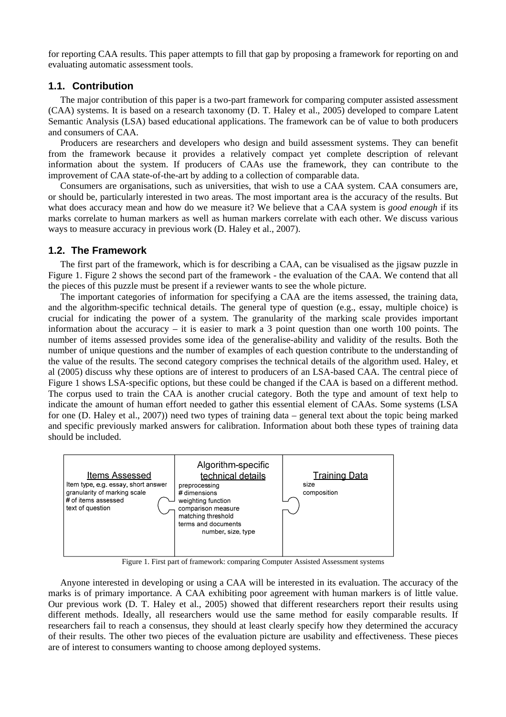for reporting CAA results. This paper attempts to fill that gap by proposing a framework for reporting on and evaluating automatic assessment tools.

#### **1.1. Contribution**

The major contribution of this paper is a two-part framework for comparing computer assisted assessment (CAA) systems. It is based on a research taxonomy (D. T. Haley et al., 2005) developed to compare Latent Semantic Analysis (LSA) based educational applications. The framework can be of value to both producers and consumers of CAA.

Producers are researchers and developers who design and build assessment systems. They can benefit from the framework because it provides a relatively compact yet complete description of relevant information about the system. If producers of CAAs use the framework, they can contribute to the improvement of CAA state-of-the-art by adding to a collection of comparable data.

Consumers are organisations, such as universities, that wish to use a CAA system. CAA consumers are, or should be, particularly interested in two areas. The most important area is the accuracy of the results. But what does accuracy mean and how do we measure it? We believe that a CAA system is *good enough* if its marks correlate to human markers as well as human markers correlate with each other. We discuss various ways to measure accuracy in previous work (D. Haley et al., 2007).

#### **1.2. The Framework**

The first part of the framework, which is for describing a CAA, can be visualised as the jigsaw puzzle in Figure 1. Figure 2 shows the second part of the framework - the evaluation of the CAA. We contend that all the pieces of this puzzle must be present if a reviewer wants to see the whole picture.

The important categories of information for specifying a CAA are the items assessed, the training data, and the algorithm-specific technical details. The general type of question (e.g., essay, multiple choice) is crucial for indicating the power of a system. The granularity of the marking scale provides important information about the accuracy – it is easier to mark a 3 point question than one worth 100 points. The number of items assessed provides some idea of the generalise-ability and validity of the results. Both the number of unique questions and the number of examples of each question contribute to the understanding of the value of the results. The second category comprises the technical details of the algorithm used. Haley, et al (2005) discuss why these options are of interest to producers of an LSA-based CAA. The central piece of Figure 1 shows LSA-specific options, but these could be changed if the CAA is based on a different method. The corpus used to train the CAA is another crucial category. Both the type and amount of text help to indicate the amount of human effort needed to gather this essential element of CAAs. Some systems (LSA for one (D. Haley et al., 2007)) need two types of training data – general text about the topic being marked and specific previously marked answers for calibration. Information about both these types of training data should be included.



Figure 1. First part of framework: comparing Computer Assisted Assessment systems

Anyone interested in developing or using a CAA will be interested in its evaluation. The accuracy of the marks is of primary importance. A CAA exhibiting poor agreement with human markers is of little value. Our previous work (D. T. Haley et al., 2005) showed that different researchers report their results using different methods. Ideally, all researchers would use the same method for easily comparable results. If researchers fail to reach a consensus, they should at least clearly specify how they determined the accuracy of their results. The other two pieces of the evaluation picture are usability and effectiveness. These pieces are of interest to consumers wanting to choose among deployed systems.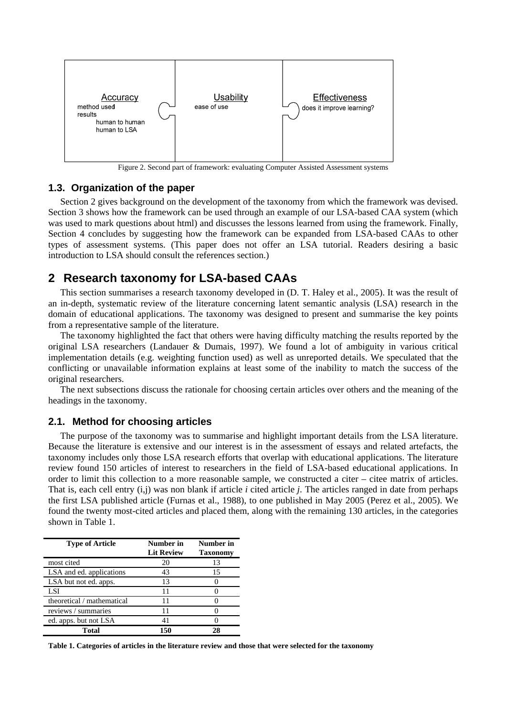

Figure 2. Second part of framework: evaluating Computer Assisted Assessment systems

#### **1.3. Organization of the paper**

Section 2 gives background on the development of the taxonomy from which the framework was devised. Section 3 shows how the framework can be used through an example of our LSA-based CAA system (which was used to mark questions about html) and discusses the lessons learned from using the framework. Finally, Section 4 concludes by suggesting how the framework can be expanded from LSA-based CAAs to other types of assessment systems. (This paper does not offer an LSA tutorial. Readers desiring a basic introduction to LSA should consult the references section.)

## **2 Research taxonomy for LSA-based CAAs**

This section summarises a research taxonomy developed in (D. T. Haley et al., 2005). It was the result of an in-depth, systematic review of the literature concerning latent semantic analysis (LSA) research in the domain of educational applications. The taxonomy was designed to present and summarise the key points from a representative sample of the literature.

The taxonomy highlighted the fact that others were having difficulty matching the results reported by the original LSA researchers (Landauer & Dumais, 1997). We found a lot of ambiguity in various critical implementation details (e.g. weighting function used) as well as unreported details. We speculated that the conflicting or unavailable information explains at least some of the inability to match the success of the original researchers.

The next subsections discuss the rationale for choosing certain articles over others and the meaning of the headings in the taxonomy.

#### **2.1. Method for choosing articles**

The purpose of the taxonomy was to summarise and highlight important details from the LSA literature. Because the literature is extensive and our interest is in the assessment of essays and related artefacts, the taxonomy includes only those LSA research efforts that overlap with educational applications. The literature review found 150 articles of interest to researchers in the field of LSA-based educational applications. In order to limit this collection to a more reasonable sample, we constructed a citer – citee matrix of articles. That is, each cell entry (i,j) was non blank if article *i* cited article *j*. The articles ranged in date from perhaps the first LSA published article (Furnas et al., 1988), to one published in May 2005 (Perez et al., 2005). We found the twenty most-cited articles and placed them, along with the remaining 130 articles, in the categories shown in Table 1.

| <b>Type of Article</b>     | Number in         | Number in       |
|----------------------------|-------------------|-----------------|
|                            | <b>Lit Review</b> | <b>Taxonomy</b> |
| most cited                 | 20                | 13              |
| LSA and ed. applications   | 43                | 15              |
| LSA but not ed. apps.      | 13                |                 |
| <b>LSI</b>                 | 11                |                 |
| theoretical / mathematical | 11                |                 |
| reviews / summaries        | 11                |                 |
| ed. apps. but not LSA      | 41                |                 |
| Total                      | 150               |                 |

**Table 1. Categories of articles in the literature review and those that were selected for the taxonomy**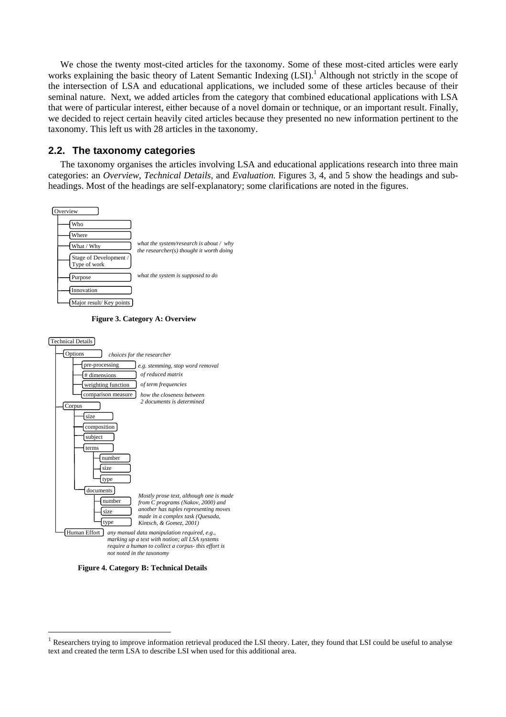We chose the twenty most-cited articles for the taxonomy. Some of these most-cited articles were early works explaining the basic theory of Latent Semantic Indexing (LSI).<sup>1</sup> Although not strictly in the scope of the intersection of LSA and educational applications, we included some of these articles because of their seminal nature. Next, we added articles from the category that combined educational applications with LSA that were of particular interest, either because of a novel domain or technique, or an important result. Finally, we decided to reject certain heavily cited articles because they presented no new information pertinent to the taxonomy. This left us with 28 articles in the taxonomy.

#### **2.2. The taxonomy categories**

The taxonomy organises the articles involving LSA and educational applications research into three main categories: an *Overview*, *Technical Details*, and *Evaluation*. Figures 3, 4, and 5 show the headings and subheadings. Most of the headings are self-explanatory; some clarifications are noted in the figures.



**Figure 3. Category A: Overview** 



**Figure 4. Category B: Technical Details** 

 $\overline{a}$ 

Researchers trying to improve information retrieval produced the LSI theory. Later, they found that LSI could be useful to analyse text and created the term LSA to describe LSI when used for this additional area.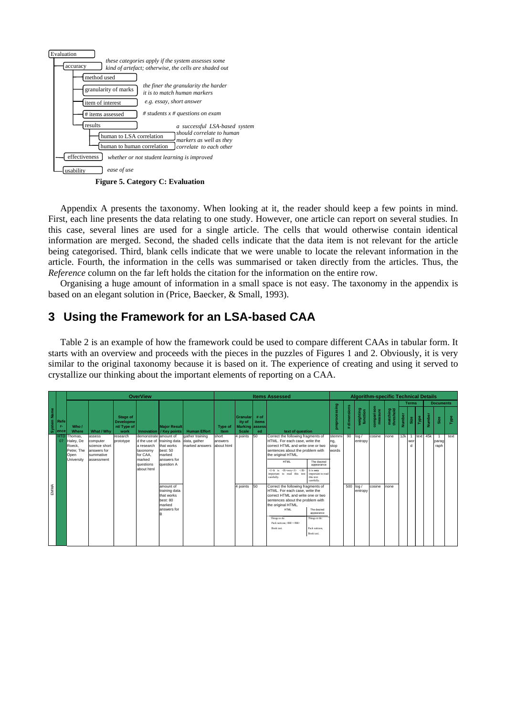

**Figure 5. Category C: Evaluation** 

Appendix A presents the taxonomy. When looking at it, the reader should keep a few points in mind. First, each line presents the data relating to one study. However, one article can report on several studies. In this case, several lines are used for a single article. The cells that would otherwise contain identical information are merged. Second, the shaded cells indicate that the data item is not relevant for the article being categorised. Third, blank cells indicate that we were unable to locate the relevant information in the article. Fourth, the information in the cells was summarised or taken directly from the articles. Thus, the *Reference* column on the far left holds the citation for the information on the entire row.

Organising a huge amount of information in a small space is not easy. The taxonomy in the appendix is based on an elegant solution in (Price, Baecker, & Small, 1993).

# **3 Using the Framework for an LSA-based CAA**

Table 2 is an example of how the framework could be used to compare different CAAs in tabular form. It starts with an overview and proceeds with the pieces in the puzzles of Figures 1 and 2. Obviously, it is very similar to the original taxonomy because it is based on it. The experience of creating and using it served to crystallize our thinking about the important elements of reporting on a CAA.

|                                          |                                                                    |                                                                               |                                                    | <b>OverView</b>                                                                                                  |                                                                                |                                                              |                  |                                                             |                                      | <b>Items Assessed</b>                                                                                                                                                                                                                   |                                                                                          |                                |                  |                       | <b>Algorithm-specific Technical Details</b> |                       |               |                    |            |        |                  |      |
|------------------------------------------|--------------------------------------------------------------------|-------------------------------------------------------------------------------|----------------------------------------------------|------------------------------------------------------------------------------------------------------------------|--------------------------------------------------------------------------------|--------------------------------------------------------------|------------------|-------------------------------------------------------------|--------------------------------------|-----------------------------------------------------------------------------------------------------------------------------------------------------------------------------------------------------------------------------------------|------------------------------------------------------------------------------------------|--------------------------------|------------------|-----------------------|---------------------------------------------|-----------------------|---------------|--------------------|------------|--------|------------------|------|
|                                          |                                                                    |                                                                               |                                                    |                                                                                                                  |                                                                                |                                                              |                  |                                                             |                                      |                                                                                                                                                                                                                                         |                                                                                          |                                |                  |                       |                                             |                       |               | <b>Terms</b>       |            |        | <b>Documents</b> |      |
| <b>System Name</b><br>Refe<br>T-<br>ence | Who/<br>Where                                                      | What / Why                                                                    | Stage of<br><b>Developme</b><br>nt/Type of<br>work |                                                                                                                  | <b>Major Result</b><br>Innovation / Key points                                 | <b>Human Effort</b>                                          | Type of<br>Item  | <b>Granular</b><br>ity of<br><b>Marking</b><br><b>Scale</b> | # of<br><b>items</b><br>assess<br>ed | text of question                                                                                                                                                                                                                        |                                                                                          | ssing<br>eproce:<br>â          | dimensions<br>÷. | weighting<br>function | comparison<br>measure                       | matching<br>threshold | <b>Number</b> | Size               | Type       | Number | Size             | Type |
| <b>HTD</b><br>07                         | Thomas,<br>Haley, De<br>Roeck.<br>Petre: The<br>Open<br>University | assess<br>computer<br>science short<br>answers for<br>summative<br>assessment | research<br>prototype                              | demonstrate amount of<br>d the use of<br>a research<br>taxonomy<br>for CAA.<br>marked<br>questions<br>about html | training data<br>that works<br>best: 50<br>marked<br>answers for<br>question A | gather training<br>data, gather<br>marked answers about html | short<br>answers | 4 points                                                    | 50                                   | Correct the following fragments of<br>HTML. For each case, write the<br>correct HTML and write one or two<br>sentences about the problem with<br>the original HTML.<br><b>HTML</b><br>important to read this text<br>carefully.         | The desired<br>appearance<br>It is very<br>important to read<br>this text                | stemmi<br>ng,<br>stop<br>words |                  | $90$ log /<br>entropy | cosine                                      | none                  | 12k           | wor<br>$\mathbf d$ | 1 text 45k |        | parag<br>raph    | text |
| EMMA                                     |                                                                    |                                                                               |                                                    |                                                                                                                  | amount of<br>training data<br>that works<br>best: 80<br>marked<br>answers for  |                                                              |                  | 4 points                                                    | 50                                   | Correct the following fragments of<br>HTML. For each case, write the<br>correct HTML and write one or two<br>sentences about the problem with<br>the original HTML.<br><b>HTML</b><br>Things to do:<br>Pack suitcase.<br><br>Book taxi. | carefully.<br>The desired<br>appearance<br>Things to do:<br>Pack suitcase.<br>Book taxi. |                                | $500$ log /      | entropy               | cosine                                      | none                  |               |                    |            |        |                  |      |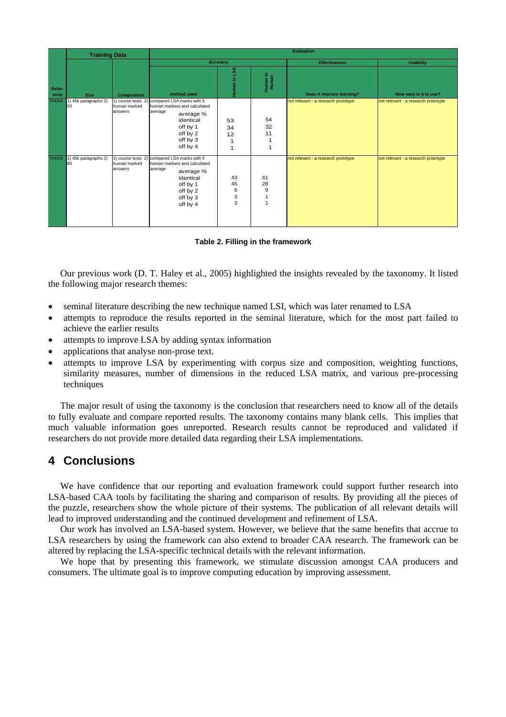|                | <b>Training Data</b>       |                                               |                                                                                                                                                |                         |                     | <b>Evaluation</b>                   |                                     |
|----------------|----------------------------|-----------------------------------------------|------------------------------------------------------------------------------------------------------------------------------------------------|-------------------------|---------------------|-------------------------------------|-------------------------------------|
|                |                            |                                               |                                                                                                                                                | Accuracy                |                     | <b>Effectiveness</b>                | <b>Usability</b>                    |
| Refer-<br>ence | <b>Size</b>                | <b>Composition</b>                            | method used                                                                                                                                    | ١SA<br>Human to         | Human to<br>Human   | Does it improve learning?           | How easy is it to use?              |
| THD04          | 1) 45k paragraphs 2)<br>50 | 1) course texts 2)<br>human marked<br>answers | compared LSA marks with 5<br>human markers and calculated<br>average<br>average %<br>identical<br>off by 1<br>off by 2<br>off by 3<br>off by 4 | 53<br>34<br>12<br>1     | 54<br>32<br>11<br>1 | not relevant - a research prototype | not relevant - a research prototype |
| THD04          | 1) 45k paragraphs 2)<br>80 | 1) course texts 2)<br>human marked<br>answers | compared LSA marks with 5<br>human markers and calculated<br>average<br>average %<br>identical<br>off by 1<br>off by 2<br>off by 3<br>off by 4 | 43<br>45<br>6<br>3<br>3 | 61<br>28<br>9       | not relevant - a research prototype | not relevant - a research prototype |

**Table 2. Filling in the framework** 

Our previous work (D. T. Haley et al., 2005) highlighted the insights revealed by the taxonomy. It listed the following major research themes:

- seminal literature describing the new technique named LSI, which was later renamed to LSA
- attempts to reproduce the results reported in the seminal literature, which for the most part failed to achieve the earlier results
- attempts to improve LSA by adding syntax information
- applications that analyse non-prose text.
- attempts to improve LSA by experimenting with corpus size and composition, weighting functions, similarity measures, number of dimensions in the reduced LSA matrix, and various pre-processing techniques

The major result of using the taxonomy is the conclusion that researchers need to know all of the details to fully evaluate and compare reported results. The taxonomy contains many blank cells. This implies that much valuable information goes unreported. Research results cannot be reproduced and validated if researchers do not provide more detailed data regarding their LSA implementations.

## **4 Conclusions**

We have confidence that our reporting and evaluation framework could support further research into LSA-based CAA tools by facilitating the sharing and comparison of results. By providing all the pieces of the puzzle, researchers show the whole picture of their systems. The publication of all relevant details will lead to improved understanding and the continued development and refinement of LSA.

Our work has involved an LSA-based system. However, we believe that the same benefits that accrue to LSA researchers by using the framework can also extend to broader CAA research. The framework can be altered by replacing the LSA-specific technical details with the relevant information.

We hope that by presenting this framework, we stimulate discussion amongst CAA producers and consumers. The ultimate goal is to improve computing education by improving assessment.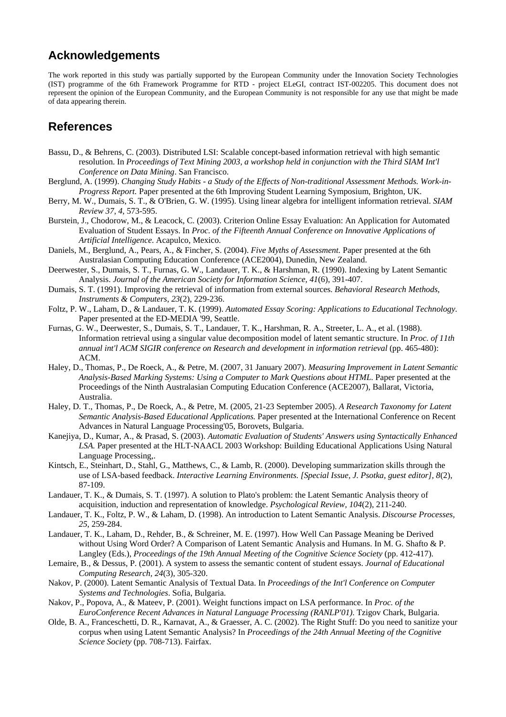## **Acknowledgements**

The work reported in this study was partially supported by the European Community under the Innovation Society Technologies (IST) programme of the 6th Framework Programme for RTD - project ELeGI, contract IST-002205. This document does not represent the opinion of the European Community, and the European Community is not responsible for any use that might be made of data appearing therein.

## **References**

- Bassu, D., & Behrens, C. (2003). Distributed LSI: Scalable concept-based information retrieval with high semantic resolution. In *Proceedings of Text Mining 2003, a workshop held in conjunction with the Third SIAM Int'l Conference on Data Mining*. San Francisco.
- Berglund, A. (1999). *Changing Study Habits a Study of the Effects of Non-traditional Assessment Methods. Work-in-Progress Report.* Paper presented at the 6th Improving Student Learning Symposium, Brighton, UK.
- Berry, M. W., Dumais, S. T., & O'Brien, G. W. (1995). Using linear algebra for intelligent information retrieval. *SIAM Review 37, 4*, 573-595.
- Burstein, J., Chodorow, M., & Leacock, C. (2003). Criterion Online Essay Evaluation: An Application for Automated Evaluation of Student Essays. In *Proc. of the Fifteenth Annual Conference on Innovative Applications of Artificial Intelligence*. Acapulco, Mexico.
- Daniels, M., Berglund, A., Pears, A., & Fincher, S. (2004). *Five Myths of Assessment.* Paper presented at the 6th Australasian Computing Education Conference (ACE2004), Dunedin, New Zealand.
- Deerwester, S., Dumais, S. T., Furnas, G. W., Landauer, T. K., & Harshman, R. (1990). Indexing by Latent Semantic Analysis. *Journal of the American Society for Information Science, 41*(6), 391-407.
- Dumais, S. T. (1991). Improving the retrieval of information from external sources. *Behavioral Research Methods, Instruments & Computers, 23*(2), 229-236.
- Foltz, P. W., Laham, D., & Landauer, T. K. (1999). *Automated Essay Scoring: Applications to Educational Technology.* Paper presented at the ED-MEDIA '99, Seattle.
- Furnas, G. W., Deerwester, S., Dumais, S. T., Landauer, T. K., Harshman, R. A., Streeter, L. A., et al. (1988). Information retrieval using a singular value decomposition model of latent semantic structure. In *Proc. of 11th annual int'l ACM SIGIR conference on Research and development in information retrieval* (pp. 465-480): ACM.
- Haley, D., Thomas, P., De Roeck, A., & Petre, M. (2007, 31 January 2007). *Measuring Improvement in Latent Semantic Analysis-Based Marking Systems: Using a Computer to Mark Questions about HTML.* Paper presented at the Proceedings of the Ninth Australasian Computing Education Conference (ACE2007), Ballarat, Victoria, Australia.
- Haley, D. T., Thomas, P., De Roeck, A., & Petre, M. (2005, 21-23 September 2005). *A Research Taxonomy for Latent Semantic Analysis-Based Educational Applications.* Paper presented at the International Conference on Recent Advances in Natural Language Processing'05, Borovets, Bulgaria.
- Kanejiya, D., Kumar, A., & Prasad, S. (2003). *Automatic Evaluation of Students' Answers using Syntactically Enhanced LSA.* Paper presented at the HLT-NAACL 2003 Workshop: Building Educational Applications Using Natural Language Processing,.
- Kintsch, E., Steinhart, D., Stahl, G., Matthews, C., & Lamb, R. (2000). Developing summarization skills through the use of LSA-based feedback. *Interactive Learning Environments. [Special Issue, J. Psotka, guest editor], 8*(2), 87-109.
- Landauer, T. K., & Dumais, S. T. (1997). A solution to Plato's problem: the Latent Semantic Analysis theory of acquisition, induction and representation of knowledge. *Psychological Review, 104*(2), 211-240.
- Landauer, T. K., Foltz, P. W., & Laham, D. (1998). An introduction to Latent Semantic Analysis. *Discourse Processes, 25*, 259-284.
- Landauer, T. K., Laham, D., Rehder, B., & Schreiner, M. E. (1997). How Well Can Passage Meaning be Derived without Using Word Order? A Comparison of Latent Semantic Analysis and Humans. In M. G. Shafto & P. Langley (Eds.), *Proceedings of the 19th Annual Meeting of the Cognitive Science Society* (pp. 412-417).
- Lemaire, B., & Dessus, P. (2001). A system to assess the semantic content of student essays. *Journal of Educational Computing Research, 24*(3), 305-320.
- Nakov, P. (2000). Latent Semantic Analysis of Textual Data. In *Proceedings of the Int'l Conference on Computer Systems and Technologies*. Sofia, Bulgaria.
- Nakov, P., Popova, A., & Mateev, P. (2001). Weight functions impact on LSA performance. In *Proc. of the EuroConference Recent Advances in Natural Language Processing (RANLP'01)*. Tzigov Chark, Bulgaria.
- Olde, B. A., Franceschetti, D. R., Karnavat, A., & Graesser, A. C. (2002). The Right Stuff: Do you need to sanitize your corpus when using Latent Semantic Analysis? In *Proceedings of the 24th Annual Meeting of the Cognitive Science Society* (pp. 708-713). Fairfax.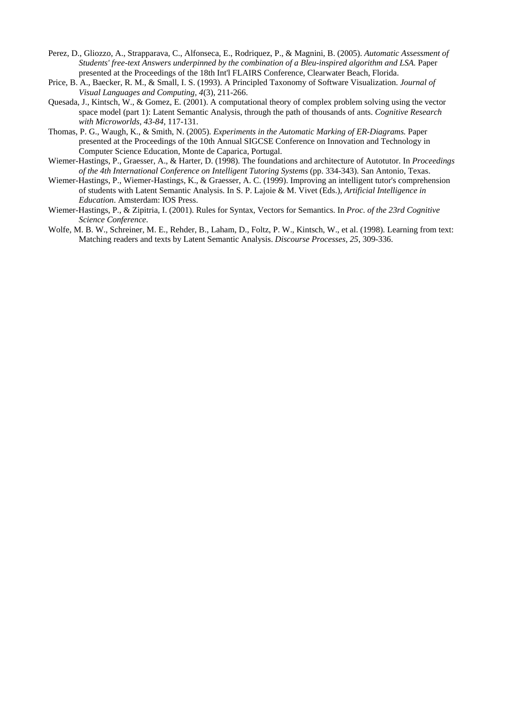- Perez, D., Gliozzo, A., Strapparava, C., Alfonseca, E., Rodriquez, P., & Magnini, B. (2005). *Automatic Assessment of Students' free-text Answers underpinned by the combination of a Bleu-inspired algorithm and LSA.* Paper presented at the Proceedings of the 18th Int'l FLAIRS Conference, Clearwater Beach, Florida.
- Price, B. A., Baecker, R. M., & Small, I. S. (1993). A Principled Taxonomy of Software Visualization. *Journal of Visual Languages and Computing, 4*(3), 211-266.
- Quesada, J., Kintsch, W., & Gomez, E. (2001). A computational theory of complex problem solving using the vector space model (part 1): Latent Semantic Analysis, through the path of thousands of ants. *Cognitive Research with Microworlds, 43-84*, 117-131.
- Thomas, P. G., Waugh, K., & Smith, N. (2005). *Experiments in the Automatic Marking of ER-Diagrams.* Paper presented at the Proceedings of the 10th Annual SIGCSE Conference on Innovation and Technology in Computer Science Education, Monte de Caparica, Portugal.
- Wiemer-Hastings, P., Graesser, A., & Harter, D. (1998). The foundations and architecture of Autotutor. In *Proceedings of the 4th International Conference on Intelligent Tutoring Systems* (pp. 334-343). San Antonio, Texas.
- Wiemer-Hastings, P., Wiemer-Hastings, K., & Graesser, A. C. (1999). Improving an intelligent tutor's comprehension of students with Latent Semantic Analysis. In S. P. Lajoie & M. Vivet (Eds.), *Artificial Intelligence in Education*. Amsterdam: IOS Press.
- Wiemer-Hastings, P., & Zipitria, I. (2001). Rules for Syntax, Vectors for Semantics. In *Proc. of the 23rd Cognitive Science Conference*.
- Wolfe, M. B. W., Schreiner, M. E., Rehder, B., Laham, D., Foltz, P. W., Kintsch, W., et al. (1998). Learning from text: Matching readers and texts by Latent Semantic Analysis. *Discourse Processes, 25*, 309-336.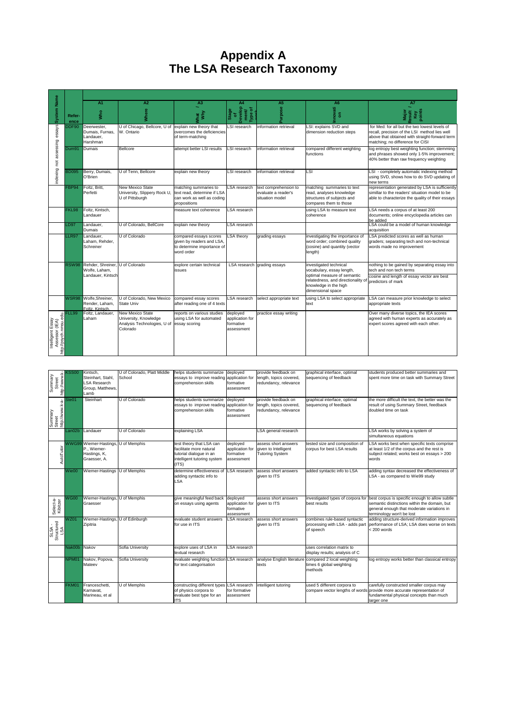# **Appendix A The LSA Research Taxonomy**

|                                                              |                | A <sub>1</sub>                                          | A2                                                                                   | A <sub>3</sub>                                                                                     | A4                                                     | A <sub>5</sub>                                                  | A <sub>6</sub>                                                                                                  | A7                                                                                                                                                                                   |
|--------------------------------------------------------------|----------------|---------------------------------------------------------|--------------------------------------------------------------------------------------|----------------------------------------------------------------------------------------------------|--------------------------------------------------------|-----------------------------------------------------------------|-----------------------------------------------------------------------------------------------------------------|--------------------------------------------------------------------------------------------------------------------------------------------------------------------------------------|
| <b>System Name</b>                                           | Refer-<br>ence | <b>Mho</b>                                              | Where                                                                                | χ                                                                                                  | Develop<br>ment/<br>Type of<br>Stage<br>of             | Purpose                                                         | <b>hevor</b><br>$\overline{\mathbf{5}}$                                                                         | Major<br>Result<br>Key<br>points                                                                                                                                                     |
| essays                                                       | DDF90          | Deerwester,<br>Dumais, Furnas,<br>Landauer,<br>Harshman | U of Chicago, Bellcore, U of explain new theory that<br>W. Ontario                   | overcomes the deficiencies<br>of term-matching                                                     | LSI research                                           | information retrieval                                           | LSI: explains SVD and<br>dimension reduction steps                                                              | for Med: for all but the two lowest levels of<br>recall, precision of the LSI method lies well<br>above that obtained with straight-forward term<br>matching; no difference for CISI |
| assessing                                                    | Dum91          | Dumais                                                  | Bellcore                                                                             | attempt better LSI results                                                                         | LSI research                                           | information retrieval                                           | compared different weighting<br>functions                                                                       | log entropy best weighting function; stemming<br>and phrases showed only 1-5% improvement:<br>40% better than raw frequency weighting                                                |
| indexing not                                                 | 3D095          | Berry, Dumais,<br>O'Brien                               | U of Tenn, Bellcore                                                                  | explain new theory                                                                                 | LSI research                                           | information retrieval                                           | LSI                                                                                                             | LSI - completely automatic indexing method<br>using SVD, shows how to do SVD updating of<br>new terms                                                                                |
|                                                              | FBP94          | Foltz, Britt,<br>Perfetti                               | New Mexico State<br>University, Slippery Rock U.<br>U of Pittsburgh                  | matching summaries to<br>text read, determine if LSA<br>can work as well as coding<br>propositions | LSA research                                           | text comprehension to<br>evaluate a reader's<br>situation model | matching summaries to text<br>read, analyses knowledge<br>structures of subiects and<br>compares them to those  | representation generated by LSA is sufficiently<br>simillar to the readers' situation model to be<br>able to characterize the quality of their essays                                |
|                                                              | <b>FKL98</b>   | Foltz, Kintsch,<br>Landauer                             |                                                                                      | measure text coherence                                                                             | LSA research                                           |                                                                 | using LSA to measure text<br>coherence                                                                          | LSA needs a corpus of at least 200<br>documents; online encyclopedia articles can<br>be added                                                                                        |
|                                                              | LD97           | Landauer,<br>Dumais                                     | U of Colorado, BellCore                                                              | explain new theory                                                                                 | LSA research                                           |                                                                 |                                                                                                                 | LSA could be a model of human knowledge<br>acquisition                                                                                                                               |
|                                                              | LLR97          | Landauer,<br>Laham, Rehder,<br>Schreiner                | U of Colorado                                                                        | compared essays scores<br>given by readers and LSA.<br>to determine importance of<br>word order    | LSA theorv                                             | grading essays                                                  | investigating the importance of<br>word order; combined quality<br>(cosine) and quantity (vector<br>length)     | LSA predicted scores as well as human<br>graders; separating tech and non-technical<br>words made no improvement                                                                     |
|                                                              | <b>RSW98</b>   | Rehder, Shreiner, U of Colorado<br>Wolfe, Laham,        |                                                                                      | explore certain technical<br>issues                                                                |                                                        | LSA research grading essays                                     | investigated technical<br>vocabulary, essay length,                                                             | nothing to be gained by separating essay into<br>tech and non tech terms                                                                                                             |
|                                                              |                | Landauer, Kintsch                                       |                                                                                      |                                                                                                    |                                                        |                                                                 | optimal measure of semantic<br>relatedness, and directionality of<br>knowledge in the high<br>dimensional space | cosine and length of essay vector are best<br>predictors of mark                                                                                                                     |
|                                                              | <b>WSR98</b>   | Wolfe.Shreiner.<br>Render, Laham,<br>Foltz, Kintsch.    | U of Colorado, New Mexico<br><b>State Univ</b>                                       | compared essay scores<br>after reading one of 4 texts                                              | LSA research                                           | select appropriate text                                         | using LSA to select appropriate<br>text                                                                         | LSA can measure prior knowledge to select<br>appropriate texts                                                                                                                       |
| ttp://psych.nmsu.edu.<br>Intelligent Essay<br>Assessor (IEA) | FLL99          | Foltz. Landauer.<br>Laham                               | New Mexico State<br>University, Knowledge<br>Analysis Technologies, U of<br>Colorado | reports on various studies<br>using LSA for automated<br>essay scoring                             | deployed<br>application for<br>formative<br>assessment | practice essay writing                                          |                                                                                                                 | Over many diverse topics, the IEA scores<br>agreed with human experts as accurately as<br>expert scores agreed with each other.                                                      |

| http://www.k-<br>Summary<br>Street   | SS00    | Kintsch.<br>Steinhart, Stahl.<br>SA Research<br>Group, Matthews,<br>Lamb           | U of Colorado, Platt Middle<br>School | helps students summarize<br>essays to improve reading<br>comprehension skills                                          | deployed<br>application for<br>formative<br>assessment | provide feedback on<br>length, topics covered,<br>redundancy, relevance | graphical interface, optimal<br>sequencing of feedback                        | students produced better summaries and<br>spent more time on task with Summary Street                                                                                        |
|--------------------------------------|---------|------------------------------------------------------------------------------------|---------------------------------------|------------------------------------------------------------------------------------------------------------------------|--------------------------------------------------------|-------------------------------------------------------------------------|-------------------------------------------------------------------------------|------------------------------------------------------------------------------------------------------------------------------------------------------------------------------|
| Summary<br>Street<br>http://www.k-a- | Ste01   | Steinhart                                                                          | U of Colorado                         | helps students summarize<br>essays to improve reading application for<br>comprehension skills                          | deployed<br>formative<br>assessment                    | provide feedback on<br>length, topics covered,<br>redundancy, relevance | graphical interface, optimal<br>sequencing of feedback                        | the more difficult the text, the better was the<br>result of using Summary Street, feedback<br>doubled time on task                                                          |
|                                      | Lan02b  | Landauer                                                                           | U of Colorado                         | explaining LSA                                                                                                         |                                                        | LSA general research                                                    |                                                                               | LSA works by solving a system of<br>simultaneous equations                                                                                                                   |
| AutoTutor                            |         | WWG99 Wiemer-Hastings, U of Memphis<br>P., Wiemer-<br>Hastings, K,<br>Graesser, A. |                                       | test theory that LSA can<br>facilitate more natural<br>tutorial dialogue in an<br>intelligent tutoring system<br>(ITS) | deployed<br>application for<br>formative<br>assessment | assess short answers<br>given to Intelligent<br><b>Tutoring System</b>  | tested size and composition of<br>corpus for best LSA results                 | LSA works best when specific texts comprise<br>at least 1/2 of the corpus and the rest is<br>subject related; works best on essays > 200<br>words                            |
|                                      | Wie00   | Wiemer-Hastings U of Memphis                                                       |                                       | determine effectiveness of<br>adding syntactic info to<br>LSA                                                          | <b>LSA</b> research                                    | assess short answers<br>given to ITS                                    | added syntactic info to LSA                                                   | adding syntax decreased the effectiveness of<br>LSA - as compared to Wie99 study                                                                                             |
| Select-a-<br>Kibitzer                | $N$ G00 | Wiemer-Hastings, U of Memphis<br>Graesser                                          |                                       | give meaningful feed back<br>on essays using agents                                                                    | deployed<br>application for<br>formative<br>assessment | assess short answers<br>given to ITS                                    | investigated types of corpora for<br>best results                             | best corpus is specific enough to allow subtle<br>semantic distinctions within the domain, but<br>general enough that moderate variations in<br>terminology won't be lost    |
| SLSA -<br>Structured<br>LSA          | NZ01    | Wiemer-Hastings, U of Edinburgh<br>Zipitria                                        |                                       | evaluate student answers<br>for use in ITS                                                                             | LSA research                                           | assess short answers<br>given to ITS                                    | combines rule-based syntactic<br>processing with LSA - adds part<br>of speech | adding structure-derived information improves<br>performance of LSA; LSA does worse on texts<br>< 200 words                                                                  |
|                                      | Nak00b  | Nakov                                                                              | Sofia University                      | explore uses of LSA in<br>textual research                                                                             | <b>LSA</b> research                                    |                                                                         | uses correlation matrix to<br>display results; analysis of C                  |                                                                                                                                                                              |
|                                      | NPM01   | Nakov, Popova,<br>Mateev                                                           | Sofia University                      | evaluate weighting function LSA research<br>for text categorisation                                                    |                                                        | analyse English literature<br>texts                                     | compared 2 local weighting<br>times 6 global weighting<br>methods             | log entropy works better than classical entropy                                                                                                                              |
|                                      | FKM01   | Franceschetti,<br>Karnavat.<br>Marineau, et al                                     | U of Memphis                          | constructing different types<br>of physics corpora to<br>evaluate best type for an<br><b>ITS</b>                       | LSA research<br>for formative<br>assessment            | ntelligent tutoring                                                     | used 5 different corpora to                                                   | carefully constructed smaller corpus may<br>compare vector lengths of words provide more accurate representation of<br>fundamental physical concepts than much<br>larger one |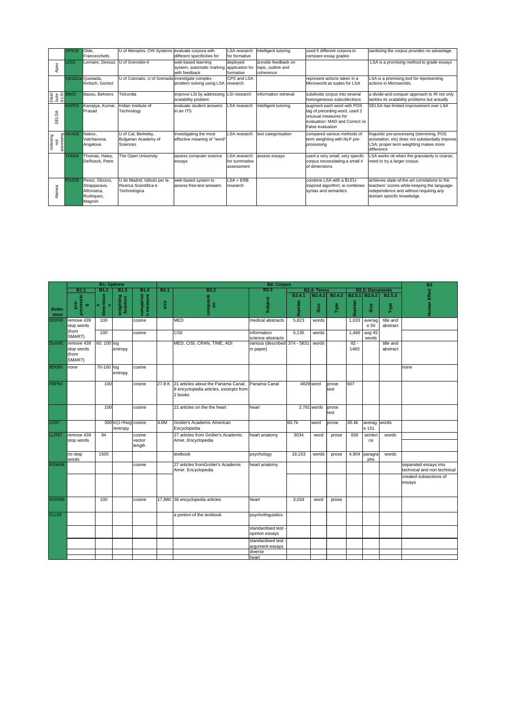|          |         | OFK02                      | Olde.            | U of Memphis, CHI Systems evaluate corpora with |                                           | LSA research        | intelligent tutoring  | used 5 different corpora to     | sanitizing the corpus provides no advantage     |
|----------|---------|----------------------------|------------------|-------------------------------------------------|-------------------------------------------|---------------------|-----------------------|---------------------------------|-------------------------------------------------|
|          |         |                            | Franceschetti.   |                                                 | different specificities for               | for formative       |                       | compare essay grades            |                                                 |
|          |         | <b>LD01</b>                | Lemaire, Dessus  | U of Grenoble-II                                | web-based learning                        | deployed            | provide feedback on   |                                 | LSA is a promising method to grade essays       |
|          | Apex    |                            |                  |                                                 | system, automatic marking application for |                     | topic, outline and    |                                 |                                                 |
|          |         |                            |                  |                                                 | with feedback                             | formative           | coherence             |                                 |                                                 |
|          |         |                            | QKG01a Quesada.  | U of Colorado, U of Grenada investigate complex |                                           | CPS and LSA         |                       | represent actions taken in a    | LSA is a promising tool for representing        |
|          |         |                            | Kintsch, Gomez   |                                                 | problem solving using LSA research        |                     |                       | Microworld as tuples for LSA    | actions in Microworlds.                         |
|          |         |                            |                  |                                                 |                                           |                     |                       |                                 |                                                 |
|          |         |                            | Bassu, Behrens   | Telcordia                                       | improve LSI by addressing LSI research    |                     | information retrieval | subdivide corpus into several   | a divide-and-conquer approach to IR not only    |
|          |         | istri<br>이 모델 BB03<br>이 모델 |                  |                                                 | scalability problem                       |                     |                       | homogeneous subcollections      | tackles its scalability problems but actually   |
|          |         | KKP03                      |                  | Indian Institute of                             | evaluate student answers                  | <b>LSA</b> research |                       |                                 |                                                 |
|          |         |                            | Kanejiya, Kumar, |                                                 | in an ITS                                 |                     | intelligent tutoring  | augment each word with POS      | SELSA has limited improvement over LSA          |
|          | న్      |                            | Prasad           | Technology                                      |                                           |                     |                       | tag of preceding word, used 2   |                                                 |
|          | i⊞<br>S |                            |                  |                                                 |                                           |                     |                       | unusual measures for            |                                                 |
|          |         |                            |                  |                                                 |                                           |                     |                       | evaluation: MAD and Correct vs. |                                                 |
|          |         |                            |                  |                                                 |                                           |                     |                       | False evaluation                |                                                 |
|          |         | assessing<br>assesses      | Nakov,           | U of Cal, Berkeley,                             | investigating the most                    | LSA research        | text categorisation   | compared various methods of     | linguistic pre-processing (stemming, POS        |
|          |         |                            | Valchanova.      | Bulgarian Academy of                            | effective meaning of "word"               |                     |                       | term weighting with NLP pre-    | annotation, etc) does not substantially improve |
|          | ĕ       |                            | Angelova         | Sciences                                        |                                           |                     |                       | processing                      | LSA; proper term weighting makes more           |
| indexing |         |                            |                  |                                                 |                                           |                     |                       |                                 | difference                                      |
|          |         |                            |                  |                                                 |                                           |                     |                       |                                 |                                                 |
|          |         | THD <sub>04</sub>          | Thomas, Haley,   | The Open University                             | assess computer science                   | LSA research        | assess essays         | used a very small, very specifc | LSA works ok when the granularity is coarse;    |
|          |         |                            | DeRoeck, Petre   |                                                 | essays                                    | for summative       |                       | corpus necessitating a small #  | need to try a larger corpus                     |
|          |         |                            |                  |                                                 |                                           | assessment          |                       | of dimensions                   |                                                 |
|          |         |                            |                  |                                                 |                                           |                     |                       |                                 |                                                 |
|          |         | PGS05                      | Perez, Gliozzo,  | U de Madrid; Istituto per la                    | web-based system to                       | $LSA + ERB$         |                       | combine LSA with a BLEU-        | achieves state-of-the-art correlations to the   |
|          |         |                            | Strapparava,     | Ricerca Scientifica e                           | assess free-text answers                  | research            |                       | inspired algorithm; ie combines | teachers' scores while keeping the language-    |
|          |         |                            | Alfonseca.       | Technologica                                    |                                           |                     |                       | syntax and semantics            | independence and without requiring any          |
|          | Atenea  |                            | Rodriguez,       |                                                 |                                           |                     |                       |                                 | domain specific knowledge                       |
|          |         |                            | Magnini          |                                                 |                                           |                     |                       |                                 |                                                 |
|          |         |                            |                  |                                                 |                                           |                     |                       |                                 |                                                 |

|                |                                             |                             | <b>B1: Options</b>                |                            |             |                                                                                          | <b>B2: Corpus</b>                               |                              |                                   |                            |                  |                        |                       |                                                      |
|----------------|---------------------------------------------|-----------------------------|-----------------------------------|----------------------------|-------------|------------------------------------------------------------------------------------------|-------------------------------------------------|------------------------------|-----------------------------------|----------------------------|------------------|------------------------|-----------------------|------------------------------------------------------|
|                | <b>B1.1</b>                                 | B1.2                        | <b>B1.3</b>                       | <b>B1.4</b>                | <b>B2.1</b> | <b>B2.2</b>                                                                              | B2.3                                            |                              | <b>B2.4: Terms</b>                |                            |                  | <b>B2.5: Documents</b> |                       |                                                      |
| Refer-<br>ence | processin<br>p.e<br>$\sigma$                | dimension<br>$\omega$<br>₩. | weighting<br>function             | compariso                  | size        | compositi<br>on                                                                          | Subject                                         | B <sub>2.4.1</sub><br>Number | B <sub>2.4.2</sub><br><b>Size</b> | B <sub>2.4.3</sub><br>Type | B2.5.1<br>Number | B2.5.2<br>Size         | B2.5.3<br>Type        | Human Effort B                                       |
| <b>DDF90</b>   | remove 439<br>stop words<br>(from           | 100                         |                                   | cosine                     |             | MED                                                                                      | medical abstracts                               | 5,823                        | words                             |                            | 1,033            | averag<br>e 50         | title and<br>abstract |                                                      |
|                | SMART)                                      | 100                         |                                   | cosine                     |             | <b>CISI</b>                                                                              | information<br>science abstracts                | 5,135                        | words                             |                            | 1,460            | avg $45$<br>words      |                       |                                                      |
| Dum91          | remove 439<br>stop words<br>(from<br>SMART) | 60, 100 log                 | entropy                           |                            |             | MED, CISI, CRAN, TIME, ADI                                                               | various (described 374 - 5831<br>in paper)      |                              | words                             |                            | $82 -$<br>1460   |                        | title and<br>abstract |                                                      |
| <b>BD095</b>   | none                                        | 70-100 log                  | entropy                           | cosine                     |             |                                                                                          |                                                 |                              |                                   |                            |                  |                        |                       | none                                                 |
| FBP94          |                                             | 100                         |                                   | cosine                     | 27.8K       | 21 articles about the Panama Canal;<br>8 encyclopedia articles, excerpts from<br>2 books | Panama Canal                                    |                              | 4829 word                         | prose<br>text              | 607              |                        |                       |                                                      |
|                |                                             | 100                         |                                   | cosine                     |             | 21 articles on the the heart                                                             | heart                                           |                              | 2,781 words                       | prose<br>text              |                  |                        |                       |                                                      |
| LD97           |                                             |                             | 300 In(1+freq) cosine<br>/entropy |                            | 4.6M        | Grolier's Academic American<br>Encyclopedia                                              |                                                 | 60.7k                        | word                              | prose                      | 30.4k            | averag<br>e 151        | words                 |                                                      |
| LLR97          | remove 439<br>stop words                    | 94                          |                                   | cosine<br>vector<br>length |             | 27 articles from Grolier's Academic<br>Amer. Encyclopedia                                | heart anatomy                                   | 3034                         | word                              | prose                      | 830              | senten<br>ce           | words                 |                                                      |
|                | no stop<br>words                            | 1500                        |                                   |                            |             | textbook                                                                                 | psychology                                      | 19,153                       | words                             | prose                      | 4,904            | paragra<br>phs         | words                 |                                                      |
| <b>RSW98</b>   |                                             |                             |                                   | cosine                     |             | 27 articles fromGrolier's Academic<br>Amer. Encyclopedia                                 | heart anatomy                                   |                              |                                   |                            |                  |                        |                       | separated essays into<br>technical and non technical |
|                |                                             |                             |                                   |                            |             |                                                                                          |                                                 |                              |                                   |                            |                  |                        |                       | created subsections of<br>essays                     |
| <b>WSR98</b>   |                                             | 100                         |                                   | cosine                     |             | 17,880 36 encyclopedia articles                                                          | heart                                           | 3,034                        | word                              | prose                      |                  |                        |                       |                                                      |
| FLL99          |                                             |                             |                                   |                            |             | a portion of the textbook                                                                | psycholinguistics                               |                              |                                   |                            |                  |                        |                       |                                                      |
|                |                                             |                             |                                   |                            |             |                                                                                          | standardised test -<br>opinion essays           |                              |                                   |                            |                  |                        |                       |                                                      |
|                |                                             |                             |                                   |                            |             |                                                                                          | standardised test<br>argument essays<br>diverse |                              |                                   |                            |                  |                        |                       |                                                      |
|                |                                             |                             |                                   |                            |             |                                                                                          | heart                                           |                              |                                   |                            |                  |                        |                       |                                                      |
|                |                                             |                             |                                   |                            |             |                                                                                          |                                                 |                              |                                   |                            |                  |                        |                       |                                                      |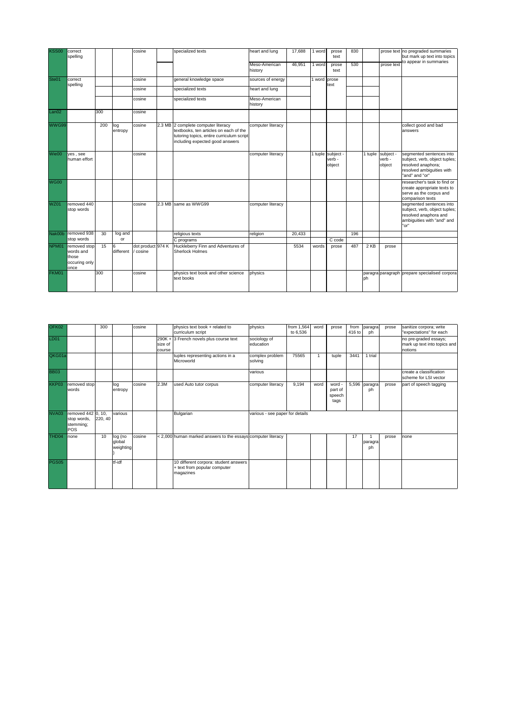| <b>KSS00</b>      | correct<br>spelling                                         |     |                | cosine                        | specialized texts                                                                                                                                             | heart and lung           | 17,688 | 1 word       | prose<br>text                         | 830 |        |                                       | prose text no pregraded summaries<br>but mark up text into topics                                                              |
|-------------------|-------------------------------------------------------------|-----|----------------|-------------------------------|---------------------------------------------------------------------------------------------------------------------------------------------------------------|--------------------------|--------|--------------|---------------------------------------|-----|--------|---------------------------------------|--------------------------------------------------------------------------------------------------------------------------------|
|                   |                                                             |     |                |                               |                                                                                                                                                               | Meso-American<br>history | 46,951 | 1 word       | prose<br>text                         | 530 |        | prose text                            | to appear in summaries                                                                                                         |
| Ste01             | correct                                                     |     |                | cosine                        | general knowledge space                                                                                                                                       | sources of energy        |        | 1 word prose |                                       |     |        |                                       |                                                                                                                                |
|                   | spelling                                                    |     |                | cosine                        | specialized texts                                                                                                                                             | heart and lung           |        |              | text                                  |     |        |                                       |                                                                                                                                |
|                   |                                                             |     |                | cosine                        | specialized texts                                                                                                                                             | Meso-American<br>history |        |              |                                       |     |        |                                       |                                                                                                                                |
| Lan <sub>02</sub> |                                                             | 300 |                | cosine                        |                                                                                                                                                               |                          |        |              |                                       |     |        |                                       |                                                                                                                                |
| WWG99             |                                                             | 200 | log<br>entropy | cosine                        | 2.3 MB 2 complete computer literacy<br>textbooks, ten articles on each of the<br>tutoring topics, entire curriculum script<br>including expected good answers | computer literacy        |        |              |                                       |     |        |                                       | collect good and bad<br>answers                                                                                                |
| Wie00             | yes, see<br>human effort                                    |     |                | cosine                        |                                                                                                                                                               | computer literacy        |        |              | 1 tuple subject -<br>verb -<br>object |     |        | 1 tuple subject -<br>verb -<br>object | segmented sentences into<br>subject, verb, object tuples;<br>resolved anaphora;<br>resolved ambiguities with<br>"and" and "or" |
| <b>WG00</b>       |                                                             |     |                |                               |                                                                                                                                                               |                          |        |              |                                       |     |        |                                       | researcher's task to find or<br>create appropriate texts to<br>serve as the corpus and<br>comparison texts                     |
| <b>WZ01</b>       | removed 440<br>stop words                                   |     |                | cosine                        | 2.3 MB same as WWG99                                                                                                                                          | computer literacy        |        |              |                                       |     |        |                                       | segmented sentences into<br>subject, verb, object tuples;<br>resolved anaphora and<br>ambiquities with "and" and<br>"or"       |
| Nak00b            | removed 938                                                 | 30  | log and        |                               | religious texts                                                                                                                                               | religion                 | 20.433 |              |                                       | 196 |        |                                       |                                                                                                                                |
|                   | stop words                                                  |     | or             |                               | C programs                                                                                                                                                    |                          |        |              | C code                                |     |        |                                       |                                                                                                                                |
| NPM01             | removed stop<br>words and<br>those<br>occuring only<br>once | 15  | 6<br>different | dot product 974 K<br>/ cosine | Huckleberry Finn and Adventures of<br><b>Sherlock Holmes</b>                                                                                                  |                          | 5534   | words        | prose                                 | 487 | $2$ KB | prose                                 |                                                                                                                                |
| FKM01             |                                                             | 300 |                | cosine                        | physics text book and other science<br>text books                                                                                                             | physics                  |        |              |                                       |     | ph     |                                       | paragra paragraph prepare specialised corpora                                                                                  |

| OFK02       |                                                       | 300     |                                | cosine |                   | physics text book + related to<br>curriculum script                                | physics                         | from 1,564<br>to 6.536 | word           | prose                               | from<br>416 to | paragra<br>ph | prose | sanitize corpora; write<br>"expectations" for each               |
|-------------|-------------------------------------------------------|---------|--------------------------------|--------|-------------------|------------------------------------------------------------------------------------|---------------------------------|------------------------|----------------|-------------------------------------|----------------|---------------|-------|------------------------------------------------------------------|
| <b>LD01</b> |                                                       |         |                                |        | size of<br>course | 290K + 3 French novels plus course text                                            | sociology of<br>education       |                        |                |                                     |                |               |       | no pre-graded essays;<br>mark up text into topics and<br>notions |
| QKG01a      |                                                       |         |                                |        |                   | tuples representing actions in a<br>Microworld                                     | complex problem<br>solving      | 75565                  | $\overline{1}$ | tuple                               | 3441           | 1 trial       |       |                                                                  |
| <b>BB03</b> |                                                       |         |                                |        |                   |                                                                                    | various                         |                        |                |                                     |                |               |       | create a classification<br>scheme for LSI vector                 |
| KKP03       | removed stop<br>words                                 |         | log<br>entropy                 | cosine | 2.3M              | used Auto tutor corpus                                                             | computer literacy               | 9,194                  | word           | word -<br>part of<br>speech<br>tags | 5,596          | paragra<br>ph | prose | part of speech tagging                                           |
| NVA03       | removed 442 0, 10,<br>stop words,<br>stemming;<br>POS | 220, 40 | various                        |        |                   | Bulgarian                                                                          | various - see paper for details |                        |                |                                     |                |               |       |                                                                  |
| THD04       | none                                                  | 10      | log (no<br>qlobal<br>weighting | cosine |                   | < 2,000 human marked answers to the essays computer literacy                       |                                 |                        |                |                                     | 17             | paragra<br>ph | prose | none                                                             |
| PGS05       |                                                       |         | tf-idf                         |        |                   | 10 different corpora: student answers<br>+ text from popular computer<br>magazines |                                 |                        |                |                                     |                |               |       |                                                                  |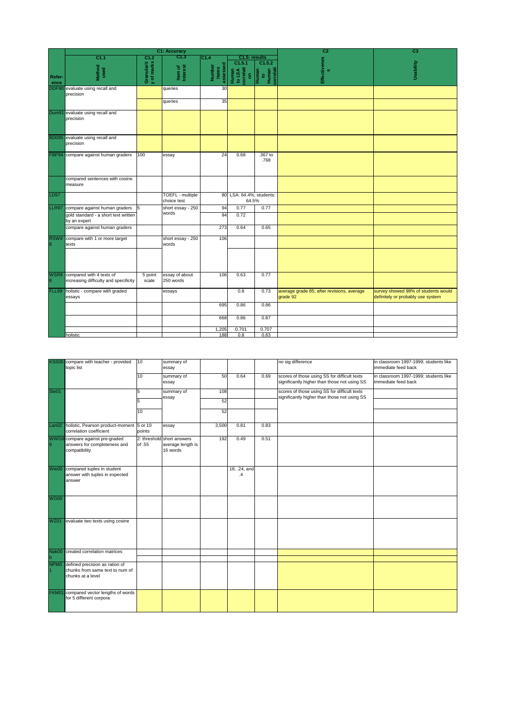|                  |                                                                   |                          | <b>C1: Accuracy</b>             |                             |                                              |                                             | C <sub>2</sub>                                         | C <sub>3</sub>                                                           |
|------------------|-------------------------------------------------------------------|--------------------------|---------------------------------|-----------------------------|----------------------------------------------|---------------------------------------------|--------------------------------------------------------|--------------------------------------------------------------------------|
|                  | C1.1                                                              | C1.2                     | C1.3                            | C1.4                        | C1.5: results                                |                                             |                                                        |                                                                          |
| Refer-<br>ence   | Method<br>used                                                    | Granularit<br>y of marks | Item of<br>Interest             | assessed<br>Number<br>items | C1.5.1<br>Human<br>to LSA<br>correlati<br>on | C1.5.2<br>Human<br>to<br>Human<br>correlati | <b>Effectivenes</b><br>$\boldsymbol{\omega}$           | VillidesU                                                                |
| DDF90            | evaluate using recall and<br>precision                            |                          | queries                         | 30                          |                                              |                                             |                                                        |                                                                          |
|                  |                                                                   |                          | queries                         | 35                          |                                              |                                             |                                                        |                                                                          |
|                  | Dum91 evaluate using recall and<br>precision                      |                          |                                 |                             |                                              |                                             |                                                        |                                                                          |
|                  | BD095 evaluate using recall and<br>precision                      |                          |                                 |                             |                                              |                                             |                                                        |                                                                          |
|                  | FBP94 compare against human graders                               | 100                      | essay                           | 24                          | 0.68                                         | .367 to<br>.768                             |                                                        |                                                                          |
|                  | compared sentences with cosine<br>measure                         |                          |                                 |                             |                                              |                                             |                                                        |                                                                          |
| <b>LD97</b>      |                                                                   |                          | TOEFL - multiple<br>choice test |                             | 80 LSA: 64.4%; students:<br>64.5%            |                                             |                                                        |                                                                          |
| LLR97            | compare against human graders                                     | 15                       | short essay - 250               | 94                          | 0.77                                         | 0.77                                        |                                                        |                                                                          |
|                  | gold standard - a short text written<br>by an expert              |                          | words                           | 94                          | 0.72                                         |                                             |                                                        |                                                                          |
|                  | compare against human graders                                     |                          |                                 | 273                         | 0.64                                         | 0.65                                        |                                                        |                                                                          |
| RSW9<br>8        | compare with 1 or more target<br>texts                            |                          | short essay - 250<br>words      | 106                         |                                              |                                             |                                                        |                                                                          |
|                  |                                                                   |                          |                                 |                             |                                              |                                             |                                                        |                                                                          |
| WSR9<br>$\bf{8}$ | compared with 4 texts of<br>increasing difficulty and specificity | 5 point<br>scale         | essay of about<br>250 words     | 106                         | 0.63                                         | 0.77                                        |                                                        |                                                                          |
| <b>FLL99</b>     | holistic - compare with graded<br>essays                          |                          | essays                          |                             | 0.8                                          | 0.73                                        | average grade 85; after revisions, average<br>grade 92 | survey showed 98% of students would<br>definitely or probably use system |
|                  |                                                                   |                          |                                 | 695                         | 0.86                                         | 0.86                                        |                                                        |                                                                          |
|                  |                                                                   |                          |                                 | 668                         | 0.86                                         | 0.87                                        |                                                        |                                                                          |
|                  |                                                                   |                          |                                 | 1,205                       | 0.701                                        | 0.707                                       |                                                        |                                                                          |
|                  | holistic                                                          |                          |                                 | 188                         | 0.8                                          | 0.83                                        |                                                        |                                                                          |

| <b>KSS00</b>      | compare with teacher - provided<br>topic list                       | 10     | summary of                    |       |                     |      | no sig difference                                                                            | in classroom 1997-1999; students like<br>immediate feed back |
|-------------------|---------------------------------------------------------------------|--------|-------------------------------|-------|---------------------|------|----------------------------------------------------------------------------------------------|--------------------------------------------------------------|
|                   |                                                                     |        | essay                         |       |                     |      |                                                                                              |                                                              |
|                   |                                                                     | 10     | summary of                    | 50    | 0.64                | 0.69 | scores of those using SS for difficult texts                                                 | in classroom 1997-1999; students like                        |
|                   |                                                                     |        | essay                         |       |                     |      | significantly higher than those not using SS                                                 | immediate feed back                                          |
| Ste01             |                                                                     | 5      | summary of<br>essay           | 108   |                     |      | scores of those using SS for difficult texts<br>significantly higher than those not using SS |                                                              |
|                   |                                                                     | 5      |                               | 52    |                     |      |                                                                                              |                                                              |
|                   |                                                                     | 10     |                               | 52    |                     |      |                                                                                              |                                                              |
| Lan <sub>02</sub> | holistic, Pearson product-moment 5 or 10<br>correlation coefficient | points | essay                         | 3,500 | 0.81                | 0.83 |                                                                                              |                                                              |
| 9                 | WWG9 compare against pre-graded<br>answers for completeness and     | of .55 | 2: threshold short answers    | 192   | 0.49                | 0.51 |                                                                                              |                                                              |
|                   | compatibility                                                       |        | average length is<br>16 words |       |                     |      |                                                                                              |                                                              |
|                   |                                                                     |        |                               |       |                     |      |                                                                                              |                                                              |
|                   |                                                                     |        |                               |       |                     |      |                                                                                              |                                                              |
|                   | Wie00 compared tuples in student<br>answer with tuples in expected  |        |                               |       | .18, .24, and<br>.4 |      |                                                                                              |                                                              |
|                   | answer                                                              |        |                               |       |                     |      |                                                                                              |                                                              |
|                   |                                                                     |        |                               |       |                     |      |                                                                                              |                                                              |
| <b>WG00</b>       |                                                                     |        |                               |       |                     |      |                                                                                              |                                                              |
|                   |                                                                     |        |                               |       |                     |      |                                                                                              |                                                              |
|                   |                                                                     |        |                               |       |                     |      |                                                                                              |                                                              |
| <b>WZ01</b>       | evaluate two texts using cosine                                     |        |                               |       |                     |      |                                                                                              |                                                              |
|                   |                                                                     |        |                               |       |                     |      |                                                                                              |                                                              |
|                   |                                                                     |        |                               |       |                     |      |                                                                                              |                                                              |
|                   |                                                                     |        |                               |       |                     |      |                                                                                              |                                                              |
| Nak00             | created correlation matrices                                        |        |                               |       |                     |      |                                                                                              |                                                              |
| $\mathbf b$       |                                                                     |        |                               |       |                     |      |                                                                                              |                                                              |
| NPM <sub>0</sub>  | defined precision as ration of                                      |        |                               |       |                     |      |                                                                                              |                                                              |
|                   | chunks from same text to num of                                     |        |                               |       |                     |      |                                                                                              |                                                              |
|                   | chunks at a level                                                   |        |                               |       |                     |      |                                                                                              |                                                              |
|                   |                                                                     |        |                               |       |                     |      |                                                                                              |                                                              |
| FKM01             | compared vector lengths of words<br>for 5 different corpora         |        |                               |       |                     |      |                                                                                              |                                                              |
|                   |                                                                     |        |                               |       |                     |      |                                                                                              |                                                              |
|                   |                                                                     |        |                               |       |                     |      |                                                                                              |                                                              |